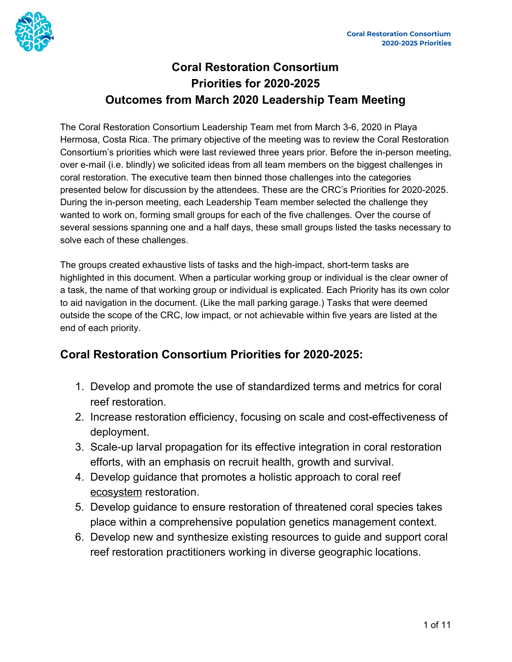

# **Coral Restoration Consortium Priorities for 2020-2025 Outcomes from March 2020 Leadership Team Meeting**

The Coral Restoration Consortium Leadership Team met from March 3-6, 2020 in Playa Hermosa, Costa Rica. The primary objective of the meeting was to review the Coral Restoration Consortium's priorities which were last reviewed three years prior. Before the in-person meeting, over e-mail (i.e. blindly) we solicited ideas from all team members on the biggest challenges in coral restoration. The executive team then binned those challenges into the categories presented below for discussion by the attendees. These are the CRC's Priorities for 2020-2025. During the in-person meeting, each Leadership Team member selected the challenge they wanted to work on, forming small groups for each of the five challenges. Over the course of several sessions spanning one and a half days, these small groups listed the tasks necessary to solve each of these challenges.

The groups created exhaustive lists of tasks and the high-impact, short-term tasks are highlighted in this document. When a particular working group or individual is the clear owner of a task, the name of that working group or individual is explicated. Each Priority has its own color to aid navigation in the document. (Like the mall parking garage.) Tasks that were deemed outside the scope of the CRC, low impact, or not achievable within five years are listed at the end of each priority.

## **Coral Restoration Consortium Priorities for 2020-2025:**

- <span id="page-0-0"></span>1. Develop and promote the use of standardized terms and metrics for coral reef restoration.
- <span id="page-0-1"></span>2. Increase restoration efficiency, focusing on scale and cost-effectiveness of deployment.
- <span id="page-0-2"></span>3. Scale-up larval propagation for its effective integration in coral restoration efforts, with an emphasis on recruit health, growth and survival.
- <span id="page-0-3"></span>4. Develop guidance that promotes a holistic approach to coral reef ecosystem restoration.
- <span id="page-0-4"></span>5. Develop guidance to ensure restoration of threatened coral species takes place within a comprehensive population genetics management context.
- <span id="page-0-5"></span>6. Develop new and synthesize existing resources to guide and support coral reef restoration practitioners working in diverse geographic locations.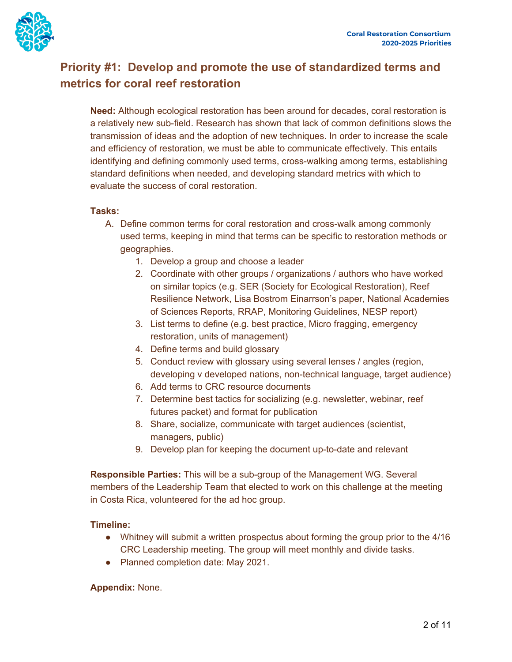

# **Priority #1: Develop and promote the use of [standardized](#page-0-0) terms and metrics for coral reef [restoration](#page-0-0)**

**Need:** Although ecological restoration has been around for decades, coral restoration is a relatively new sub-field. Research has shown that lack of common definitions slows the transmission of ideas and the adoption of new techniques. In order to increase the scale and efficiency of restoration, we must be able to communicate effectively. This entails identifying and defining commonly used terms, cross-walking among terms, establishing standard definitions when needed, and developing standard metrics with which to evaluate the success of coral restoration.

## **Tasks:**

- A. Define common terms for coral restoration and cross-walk among commonly used terms, keeping in mind that terms can be specific to restoration methods or geographies.
	- 1. Develop a group and choose a leader
	- 2. Coordinate with other groups / organizations / authors who have worked on similar topics (e.g. SER (Society for Ecological Restoration), Reef Resilience Network, Lisa Bostrom Einarrson's paper, National Academies of Sciences Reports, RRAP, Monitoring Guidelines, NESP report)
	- 3. List terms to define (e.g. best practice, Micro fragging, emergency restoration, units of management)
	- 4. Define terms and build glossary
	- 5. Conduct review with glossary using several lenses / angles (region, developing v developed nations, non-technical language, target audience)
	- 6. Add terms to CRC resource documents
	- 7. Determine best tactics for socializing (e.g. newsletter, webinar, reef futures packet) and format for publication
	- 8. Share, socialize, communicate with target audiences (scientist, managers, public)
	- 9. Develop plan for keeping the document up-to-date and relevant

**Responsible Parties:** This will be a sub-group of the Management WG. Several members of the Leadership Team that elected to work on this challenge at the meeting in Costa Rica, volunteered for the ad hoc group.

## **Timeline:**

- Whitney will submit a written prospectus about forming the group prior to the 4/16 CRC Leadership meeting. The group will meet monthly and divide tasks.
- Planned completion date: May 2021.

## **Appendix:** None.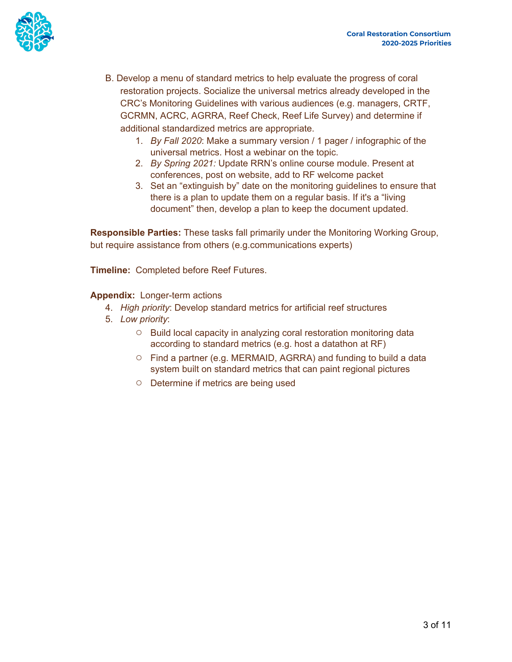

- B. Develop a menu of standard metrics to help evaluate the progress of coral restoration projects. Socialize the universal metrics already developed in the CRC's Monitoring Guidelines with various audiences (e.g. managers, CRTF, GCRMN, ACRC, AGRRA, Reef Check, Reef Life Survey) and determine if additional standardized metrics are appropriate.
	- 1. *By Fall 2020*: Make a summary version / 1 pager / infographic of the universal metrics. Host a webinar on the topic.
	- 2. *By Spring 2021:* Update RRN's online course module. Present at conferences, post on website, add to RF welcome packet
	- 3. Set an "extinguish by" date on the monitoring guidelines to ensure that there is a plan to update them on a regular basis. If it's a "living document" then, develop a plan to keep the document updated.

**Responsible Parties:** These tasks fall primarily under the Monitoring Working Group, but require assistance from others (e.g.communications experts)

**Timeline:** Completed before Reef Futures.

**Appendix:** Longer-term actions

- 4. *High priority*: Develop standard metrics for artificial reef structures
- 5. *Low priority*:
	- Build local capacity in analyzing coral restoration monitoring data according to standard metrics (e.g. host a datathon at RF)
	- Find a partner (e.g. MERMAID, AGRRA) and funding to build a data system built on standard metrics that can paint regional pictures
	- Determine if metrics are being used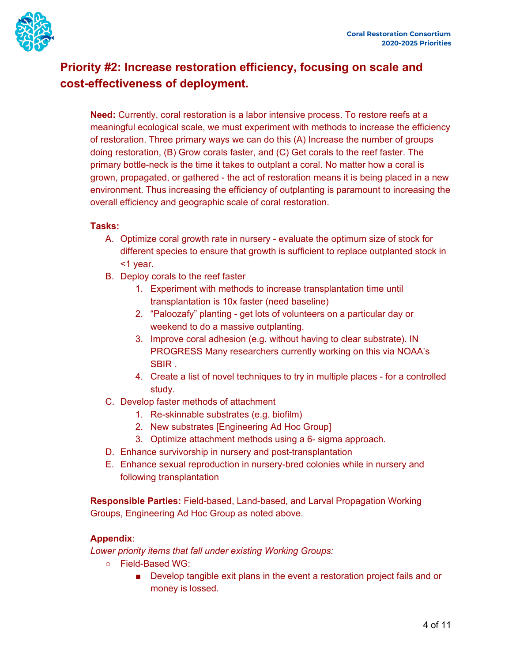

## **Priority #2: Increase [restoration](#page-0-1) efficiency, focusing on scale and [cost-effectiveness](#page-0-1) of deployment.**

**Need:** Currently, coral restoration is a labor intensive process. To restore reefs at a meaningful ecological scale, we must experiment with methods to increase the efficiency of restoration. Three primary ways we can do this (A) Increase the number of groups doing restoration, (B) Grow corals faster, and (C) Get corals to the reef faster. The primary bottle-neck is the time it takes to outplant a coral. No matter how a coral is grown, propagated, or gathered - the act of restoration means it is being placed in a new environment. Thus increasing the efficiency of outplanting is paramount to increasing the overall efficiency and geographic scale of coral restoration.

## **Tasks:**

- A. Optimize coral growth rate in nursery evaluate the optimum size of stock for different species to ensure that growth is sufficient to replace outplanted stock in <1 year.
- B. Deploy corals to the reef faster
	- 1. Experiment with methods to increase transplantation time until transplantation is 10x faster (need baseline)
	- 2. "Paloozafy" planting get lots of volunteers on a particular day or weekend to do a massive outplanting.
	- 3. Improve coral adhesion (e.g. without having to clear substrate). IN PROGRESS Many researchers currently working on this via NOAA's SBIR .
	- 4. Create a list of novel techniques to try in multiple places for a controlled study.
- C. Develop faster methods of attachment
	- 1. Re-skinnable substrates (e.g. biofilm)
	- 2. New substrates [Engineering Ad Hoc Group]
	- 3. Optimize attachment methods using a 6- sigma approach.
- D. Enhance survivorship in nursery and post-transplantation
- E. Enhance sexual reproduction in nursery-bred colonies while in nursery and following transplantation

**Responsible Parties:** Field-based, Land-based, and Larval Propagation Working Groups, Engineering Ad Hoc Group as noted above.

#### **Appendix**:

*Lower priority items that fall under existing Working Groups:*

- Field-Based WG:
	- Develop tangible exit plans in the event a restoration project fails and or money is lossed.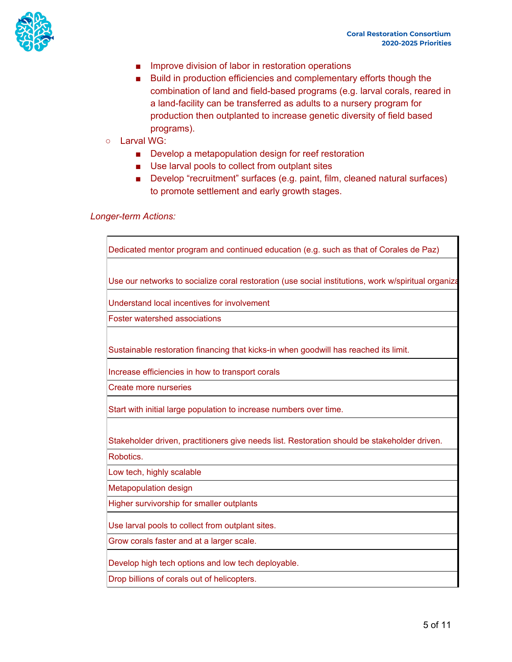

- Improve division of labor in restoration operations
- Build in production efficiencies and complementary efforts though the combination of land and field-based programs (e.g. larval corals, reared in a land-facility can be transferred as adults to a nursery program for production then outplanted to increase genetic diversity of field based programs).
- Larval WG:
	- Develop a metapopulation design for reef restoration
	- Use larval pools to collect from outplant sites
	- Develop "recruitment" surfaces (e.g. paint, film, cleaned natural surfaces) to promote settlement and early growth stages.

#### *Longer-term Actions:*

Dedicated mentor program and continued education (e.g. such as that of Corales de Paz)

Use our networks to socialize coral restoration (use social institutions, work w/spiritual organiza

Understand local incentives for involvement

Foster watershed associations

Sustainable restoration financing that kicks-in when goodwill has reached its limit.

Increase efficiencies in how to transport corals

Create more nurseries

Start with initial large population to increase numbers over time.

Stakeholder driven, practitioners give needs list. Restoration should be stakeholder driven.

Robotics.

Low tech, highly scalable

Metapopulation design

Higher survivorship for smaller outplants

Use larval pools to collect from outplant sites.

Grow corals faster and at a larger scale.

Develop high tech options and low tech deployable.

Drop billions of corals out of helicopters.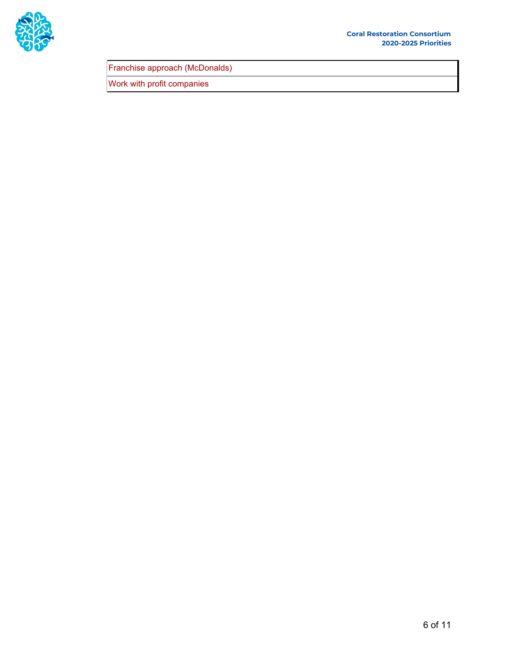

Franchise approach (McDonalds)

Work with profit companies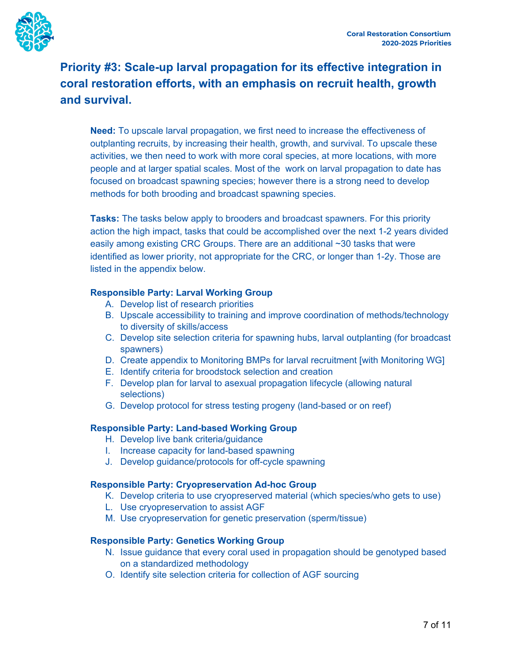# **Priority #3: Scale-up larval [propagation](#page-0-2) for its effective integration in coral restoration efforts, with an emphasis on recruit health, growth and survival[.](#page-0-2)**

**Need:** To upscale larval propagation, we first need to increase the effectiveness of outplanting recruits, by increasing their health, growth, and survival. To upscale these activities, we then need to work with more coral species, at more locations, with more people and at larger spatial scales. Most of the work on larval propagation to date has focused on broadcast spawning species; however there is a strong need to develop methods for both brooding and broadcast spawning species.

**Tasks:** The tasks below apply to brooders and broadcast spawners. For this priority action the high impact, tasks that could be accomplished over the next 1-2 years divided easily among existing CRC Groups. There are an additional ~30 tasks that were identified as lower priority, not appropriate for the CRC, or longer than 1-2y. Those are listed in the appendix below.

## **Responsible Party: Larval Working Group**

- A. Develop list of research priorities
- B. Upscale accessibility to training and improve coordination of methods/technology to diversity of skills/access
- C. Develop site selection criteria for spawning hubs, larval outplanting (for broadcast spawners)
- D. Create appendix to Monitoring BMPs for larval recruitment [with Monitoring WG]
- E. Identify criteria for broodstock selection and creation
- F. Develop plan for larval to asexual propagation lifecycle (allowing natural selections)
- G. Develop protocol for stress testing progeny (land-based or on reef)

#### **Responsible Party: Land-based Working Group**

- H. Develop live bank criteria/guidance
- I. Increase capacity for land-based spawning
- J. Develop guidance/protocols for off-cycle spawning

#### **Responsible Party: Cryopreservation Ad-hoc Group**

- K. Develop criteria to use cryopreserved material (which species/who gets to use)
- L. Use cryopreservation to assist AGF
- M. Use cryopreservation for genetic preservation (sperm/tissue)

#### **Responsible Party: Genetics Working Group**

- N. Issue guidance that every coral used in propagation should be genotyped based on a standardized methodology
- O. Identify site selection criteria for collection of AGF sourcing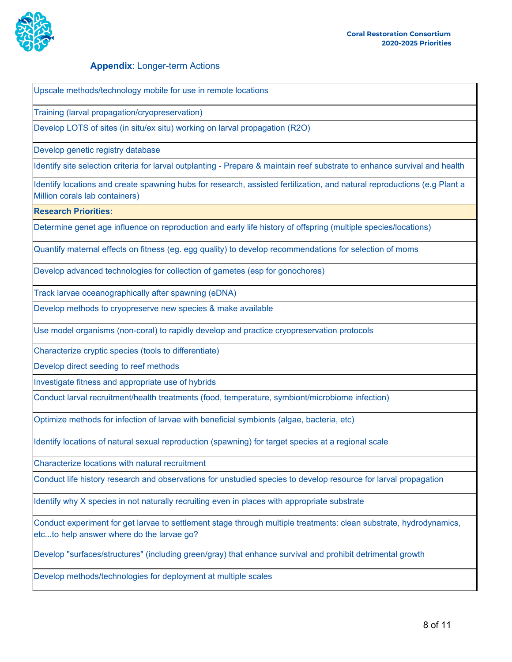

#### **Appendix**: Longer-term Actions

Upscale methods/technology mobile for use in remote locations

Training (larval propagation/cryopreservation)

Develop LOTS of sites (in situ/ex situ) working on larval propagation (R2O)

Develop genetic registry database

Identify site selection criteria for larval outplanting - Prepare & maintain reef substrate to enhance survival and health

Identify locations and create spawning hubs for research, assisted fertilization, and natural reproductions (e.g Plant a Million corals lab containers)

**Research Priorities:**

Determine genet age influence on reproduction and early life history of offspring (multiple species/locations)

Quantify maternal effects on fitness (eg. egg quality) to develop recommendations for selection of moms

Develop advanced technologies for collection of gametes (esp for gonochores)

Track larvae oceanographically after spawning (eDNA)

Develop methods to cryopreserve new species & make available

Use model organisms (non-coral) to rapidly develop and practice cryopreservation protocols

Characterize cryptic species (tools to differentiate)

Develop direct seeding to reef methods

Investigate fitness and appropriate use of hybrids

Conduct larval recruitment/health treatments (food, temperature, symbiont/microbiome infection)

Optimize methods for infection of larvae with beneficial symbionts (algae, bacteria, etc)

Identify locations of natural sexual reproduction (spawning) for target species at a regional scale

Characterize locations with natural recruitment

Conduct life history research and observations for unstudied species to develop resource for larval propagation

Identify why X species in not naturally recruiting even in places with appropriate substrate

Conduct experiment for get larvae to settlement stage through multiple treatments: clean substrate, hydrodynamics, etc...to help answer where do the larvae go?

Develop "surfaces/structures" (including green/gray) that enhance survival and prohibit detrimental growth

Develop methods/technologies for deployment at multiple scales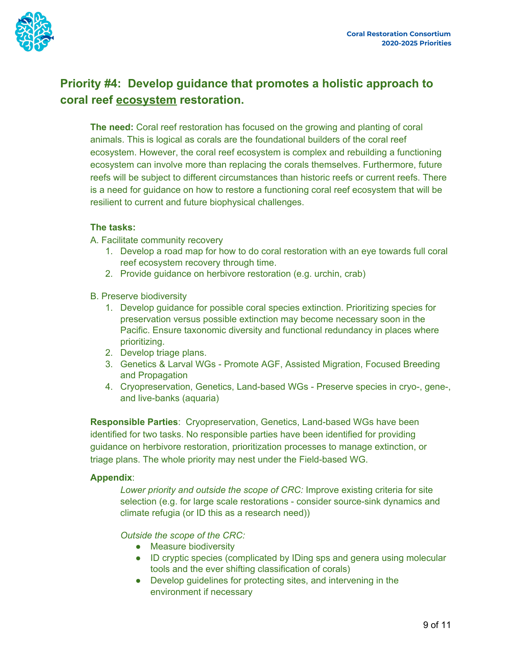

## **Priority #4: Develop guidance that [promotes](#page-0-3) a holistic approach to [coral](#page-0-3) reef [ecosystem](#page-0-3) [restoration.](#page-0-3)**

**The need:** Coral reef restoration has focused on the growing and planting of coral animals. This is logical as corals are the foundational builders of the coral reef ecosystem. However, the coral reef ecosystem is complex and rebuilding a functioning ecosystem can involve more than replacing the corals themselves. Furthermore, future reefs will be subject to different circumstances than historic reefs or current reefs. There is a need for guidance on how to restore a functioning coral reef ecosystem that will be resilient to current and future biophysical challenges.

## **The tasks:**

- A. Facilitate community recovery
	- 1. Develop a road map for how to do coral restoration with an eye towards full coral reef ecosystem recovery through time.
	- 2. Provide guidance on herbivore restoration (e.g. urchin, crab)
- B. Preserve biodiversity
	- 1. Develop guidance for possible coral species extinction. Prioritizing species for preservation versus possible extinction may become necessary soon in the Pacific. Ensure taxonomic diversity and functional redundancy in places where prioritizing.
	- 2. Develop triage plans.
	- 3. Genetics & Larval WGs Promote AGF, Assisted Migration, Focused Breeding and Propagation
	- 4. Cryopreservation, Genetics, Land-based WGs Preserve species in cryo-, gene-, and live-banks (aquaria)

**Responsible Parties**: Cryopreservation, Genetics, Land-based WGs have been identified for two tasks. No responsible parties have been identified for providing guidance on herbivore restoration, prioritization processes to manage extinction, or triage plans. The whole priority may nest under the Field-based WG.

#### **Appendix**:

*Lower priority and outside the scope of CRC:* Improve existing criteria for site selection (e.g. for large scale restorations - consider source-sink dynamics and climate refugia (or ID this as a research need))

*Outside the scope of the CRC:*

- Measure biodiversity
- ID cryptic species (complicated by IDing sps and genera using molecular tools and the ever shifting classification of corals)
- Develop guidelines for protecting sites, and intervening in the environment if necessary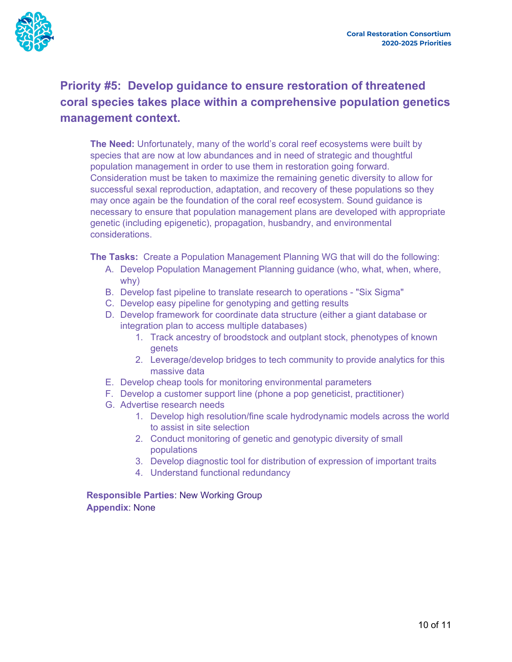

# **Priority #5: Develop guidance to ensure [restoration](#page-0-4) of threatened coral species takes place within a [comprehensive](#page-0-4) population genetics [management](#page-0-4) context.**

**The Need:** Unfortunately, many of the world's coral reef ecosystems were built by species that are now at low abundances and in need of strategic and thoughtful population management in order to use them in restoration going forward. Consideration must be taken to maximize the remaining genetic diversity to allow for successful sexal reproduction, adaptation, and recovery of these populations so they may once again be the foundation of the coral reef ecosystem. Sound guidance is necessary to ensure that population management plans are developed with appropriate genetic (including epigenetic), propagation, husbandry, and environmental considerations.

**The Tasks:** Create a Population Management Planning WG that will do the following:

- A. Develop Population Management Planning guidance (who, what, when, where, why)
- B. Develop fast pipeline to translate research to operations "Six Sigma"
- C. Develop easy pipeline for genotyping and getting results
- D. Develop framework for coordinate data structure (either a giant database or integration plan to access multiple databases)
	- 1. Track ancestry of broodstock and outplant stock, phenotypes of known genets
	- 2. Leverage/develop bridges to tech community to provide analytics for this massive data
- E. Develop cheap tools for monitoring environmental parameters
- F. Develop a customer support line (phone a pop geneticist, practitioner)
- G. Advertise research needs
	- 1. Develop high resolution/fine scale hydrodynamic models across the world to assist in site selection
	- 2. Conduct monitoring of genetic and genotypic diversity of small populations
	- 3. Develop diagnostic tool for distribution of expression of important traits
	- 4. Understand functional redundancy

**Responsible Parties**: New Working Group **Appendix**: None